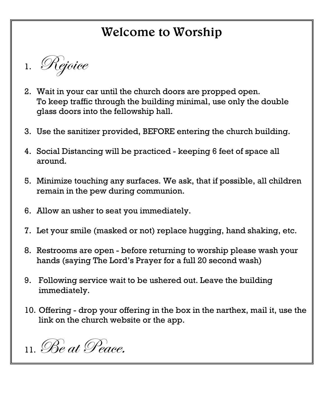# Welcome to Worship

1. Rejoice

- 2. Wait in your car until the church doors are propped open. To keep traffic through the building minimal, use only the double glass doors into the fellowship hall.
- 3. Use the sanitizer provided, BEFORE entering the church building.
- 4. Social Distancing will be practiced keeping 6 feet of space all around.
- 5. Minimize touching any surfaces. We ask, that if possible, all children remain in the pew during communion.
- 6. Allow an usher to seat you immediately.
- 7. Let your smile (masked or not) replace hugging, hand shaking, etc.
- 8. Restrooms are open before returning to worship please wash your hands (saying The Lord's Prayer for a full 20 second wash)
- 9. Following service wait to be ushered out. Leave the building immediately.
- 10. Offering drop your offering in the box in the narthex, mail it, use the link on the church website or the app.

11.Be at Peace.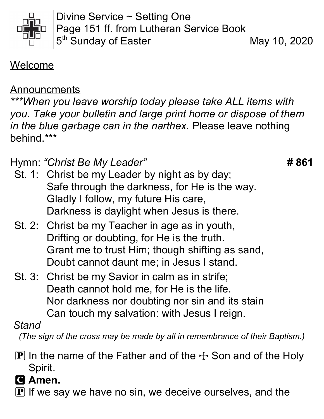

Divine Service ~ Setting One Page 151 ff. from Lutheran Service Book 5<sup>th</sup> Sunday of Easter May 10, 2020

Welcome

#### Announcments

\*\*\*When you leave worship today please take ALL items with you. Take your bulletin and large print home or dispose of them in the blue garbage can in the narthex. Please leave nothing behind.\*\*\*

Hymn: "Christ Be My Leader" **1988** 1989 4: Hymn: "Christ Be My Leader"

- St. 1: Christ be my Leader by night as by day; Safe through the darkness, for He is the way. Gladly I follow, my future His care, Darkness is daylight when Jesus is there.
- St. 2: Christ be my Teacher in age as in youth, Drifting or doubting, for He is the truth. Grant me to trust Him; though shifting as sand, Doubt cannot daunt me; in Jesus I stand.
- St. 3: Christ be my Savior in calm as in strife; Death cannot hold me, for He is the life. Nor darkness nor doubting nor sin and its stain Can touch my salvation: with Jesus I reign.

#### Stand

(The sign of the cross may be made by all in remembrance of their Baptism.)

- **P** In the name of the Father and of the  $\pm$  Son and of the Holy Spirit.
- C Amen.
- $\mathbf P$  If we say we have no sin, we deceive ourselves, and the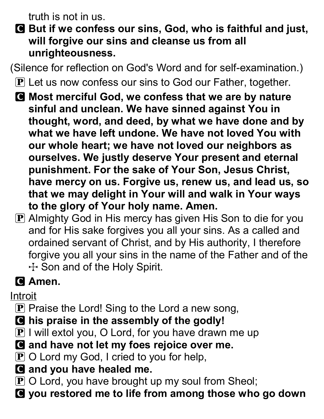truth is not in us.

C But if we confess our sins, God, who is faithful and just, will forgive our sins and cleanse us from all unrighteousness.

(Silence for reflection on God's Word and for self-examination.)

- **P** Let us now confess our sins to God our Father, together.
- C Most merciful God, we confess that we are by nature sinful and unclean. We have sinned against You in thought, word, and deed, by what we have done and by what we have left undone. We have not loved You with our whole heart; we have not loved our neighbors as ourselves. We justly deserve Your present and eternal punishment. For the sake of Your Son, Jesus Christ, have mercy on us. Forgive us, renew us, and lead us, so that we may delight in Your will and walk in Your ways to the glory of Your holy name. Amen.
- $\bf{P}$  Almighty God in His mercy has given His Son to die for you and for His sake forgives you all your sins. As a called and ordained servant of Christ, and by His authority, I therefore forgive you all your sins in the name of the Father and of the  $+$  Son and of the Holy Spirit.

# **G** Amen.

Introit

- $\bf{P}$  Praise the Lord! Sing to the Lord a new song,
- C his praise in the assembly of the godly!
- $\boxed{\mathbf{P}}$  I will extol you, O Lord, for you have drawn me up
- **Q** and have not let my foes rejoice over me.
- $\mathbf P$  O Lord my God, I cried to you for help,
- **C** and you have healed me.
- $\mathbf P$  O Lord, you have brought up my soul from Sheol;
- C you restored me to life from among those who go down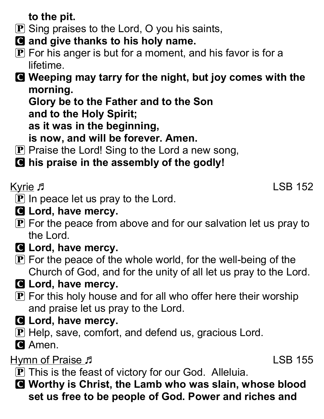to the pit.

- $\bf{P}$  Sing praises to the Lord, O you his saints,
- **Q** and give thanks to his holy name.
- $\mathbf P$  For his anger is but for a moment, and his favor is for a lifetime.

C Weeping may tarry for the night, but joy comes with the morning.

Glory be to the Father and to the Son

and to the Holy Spirit;

as it was in the beginning,

is now, and will be forever. Amen.

- $\bf{P}$  Praise the Lord! Sing to the Lord a new song,
- C his praise in the assembly of the godly!

Kyrie January 1988 152

- $\mathbf P$  In peace let us pray to the Lord.
- **G** Lord, have mercy.
- $\bf{P}$  For the peace from above and for our salvation let us pray to the Lord.
- **G** Lord, have mercy.
- $\mathbf P$  For the peace of the whole world, for the well-being of the Church of God, and for the unity of all let us pray to the Lord.
- **G** Lord, have mercy.
- $\mathbf P$  For this holy house and for all who offer here their worship and praise let us pray to the Lord.
- **G** Lord, have mercy.
- **P** Help, save, comfort, and defend us, gracious Lord.
- **C** Amen.

# Hymn of Praise  $\sqrt{ }$  155

- **P** This is the feast of victory for our God. Alleluia.
- C Worthy is Christ, the Lamb who was slain, whose blood set us free to be people of God. Power and riches and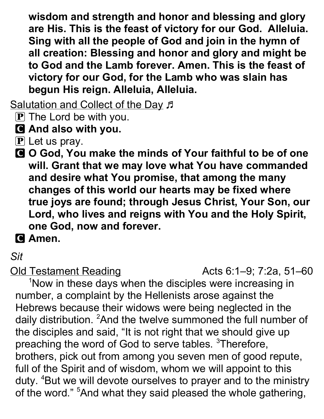wisdom and strength and honor and blessing and glory are His. This is the feast of victory for our God. Alleluia. Sing with all the people of God and join in the hymn of all creation: Blessing and honor and glory and might be to God and the Lamb forever. Amen. This is the feast of victory for our God, for the Lamb who was slain has begun His reign. Alleluia, Alleluia.

Salutation and Collect of the Day  $\beta$ 

- $\mathbf{P}$  The Lord be with you.
- C And also with you.
- $\mathbf P$  Let us pray.
- C O God, You make the minds of Your faithful to be of one will. Grant that we may love what You have commanded and desire what You promise, that among the many changes of this world our hearts may be fixed where true joys are found; through Jesus Christ, Your Son, our Lord, who lives and reigns with You and the Holy Spirit, one God, now and forever.

**G** Amen.

#### Sit

Old Testament Reading **Acts 6:1–9**; 7:2a, 51–60

<sup>1</sup>Now in these days when the disciples were increasing in number, a complaint by the Hellenists arose against the Hebrews because their widows were being neglected in the daily distribution. <sup>2</sup>And the twelve summoned the full number of the disciples and said, "It is not right that we should give up preaching the word of God to serve tables. <sup>3</sup>Therefore, brothers, pick out from among you seven men of good repute, full of the Spirit and of wisdom, whom we will appoint to this duty. <sup>4</sup>But we will devote ourselves to prayer and to the ministry of the word."<sup>5</sup>And what they said pleased the whole gathering,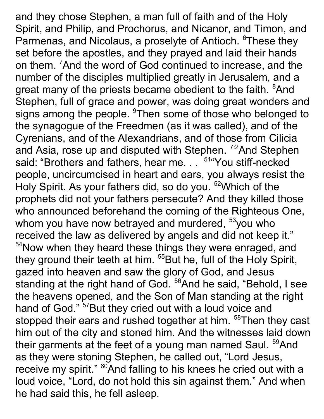and they chose Stephen, a man full of faith and of the Holy Spirit, and Philip, and Prochorus, and Nicanor, and Timon, and Parmenas, and Nicolaus, a proselyte of Antioch. <sup>6</sup>These they set before the apostles, and they prayed and laid their hands on them. <sup>7</sup>And the word of God continued to increase, and the number of the disciples multiplied greatly in Jerusalem, and a great many of the priests became obedient to the faith. <sup>8</sup>And Stephen, full of grace and power, was doing great wonders and signs among the people. <sup>9</sup>Then some of those who belonged to the synagogue of the Freedmen (as it was called), and of the Cyrenians, and of the Alexandrians, and of those from Cilicia and Asia, rose up and disputed with Stephen. <sup>7:2</sup>And Stephen said: "Brothers and fathers, hear me. . . <sup>51</sup> 'You stiff-necked people, uncircumcised in heart and ears, you always resist the Holy Spirit. As your fathers did, so do you. <sup>52</sup>Which of the prophets did not your fathers persecute? And they killed those who announced beforehand the coming of the Righteous One, whom you have now betrayed and murdered,  $53$ you who received the law as delivered by angels and did not keep it." <sup>54</sup>Now when they heard these things they were enraged, and they ground their teeth at him. <sup>55</sup>But he, full of the Holy Spirit, gazed into heaven and saw the glory of God, and Jesus standing at the right hand of God. <sup>56</sup>And he said, "Behold, I see the heavens opened, and the Son of Man standing at the right hand of God." <sup>57</sup>But they cried out with a loud voice and stopped their ears and rushed together at him. <sup>58</sup>Then they cast him out of the city and stoned him. And the witnesses laid down their garments at the feet of a young man named Saul. <sup>59</sup>And as they were stoning Stephen, he called out, "Lord Jesus, receive my spirit." <sup>60</sup>And falling to his knees he cried out with a loud voice, "Lord, do not hold this sin against them." And when he had said this, he fell asleep.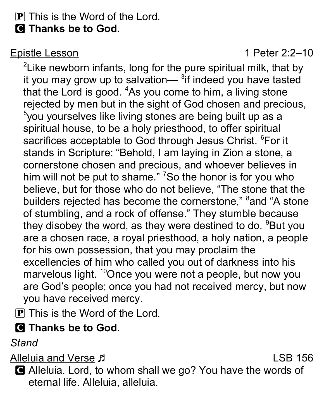# $\bf{P}$  This is the Word of the Lord.

**Q** Thanks be to God.

Epistle Lesson 1 Peter 2:2–10

 $2$ Like newborn infants, long for the pure spiritual milk, that by it you may grow up to salvation— $3$ if indeed you have tasted that the Lord is good. <sup>4</sup>As you come to him, a living stone rejected by men but in the sight of God chosen and precious,  $5$ you yourselves like living stones are being built up as a spiritual house, to be a holy priesthood, to offer spiritual sacrifices acceptable to God through Jesus Christ. <sup>6</sup>For it stands in Scripture: "Behold, I am laying in Zion a stone, a cornerstone chosen and precious, and whoever believes in him will not be put to shame." <sup>7</sup>So the honor is for you who believe, but for those who do not believe, "The stone that the builders rejected has become the cornerstone," <sup>8</sup>and "A stone of stumbling, and a rock of offense." They stumble because they disobey the word, as they were destined to do. <sup>9</sup>But you are a chosen race, a royal priesthood, a holy nation, a people for his own possession, that you may proclaim the excellencies of him who called you out of darkness into his marvelous light. <sup>10</sup>Once you were not a people, but now you are God's people; once you had not received mercy, but now you have received mercy.

 $\bf{P}$  This is the Word of the Lord.

# **G** Thanks be to God.

**Stand** 

Alleluia and Verse  $\sqrt{5}$ 

C Alleluia. Lord, to whom shall we go? You have the words of eternal life. Alleluia, alleluia.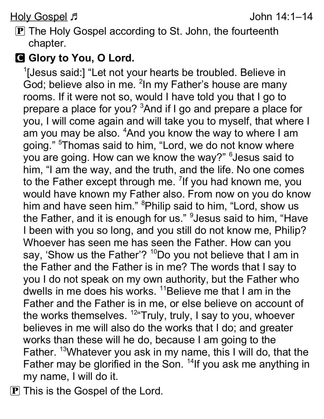Holy Gospel ラ マングランス しゅうしょう しゅうしょう しゅうしょう しゅうしょう しゅうしょう しゅうしょう しゅうしょう しゅうしょう しゅうしょう

**P** The Holy Gospel according to St. John, the fourteenth chapter.

#### G Glory to You, O Lord.

<sup>1</sup>[Jesus said:] "Let not your hearts be troubled. Believe in God; believe also in me. <sup>2</sup>In my Father's house are many rooms. If it were not so, would I have told you that I go to prepare a place for you? <sup>3</sup>And if I go and prepare a place for you, I will come again and will take you to myself, that where I am you may be also. <sup>4</sup>And you know the way to where I am going." <sup>5</sup>Thomas said to him, "Lord, we do not know where you are going. How can we know the way?" <sup>6</sup> Jesus said to him, "I am the way, and the truth, and the life. No one comes to the Father except through me. <sup>7</sup> If you had known me, you would have known my Father also. From now on you do know him and have seen him." <sup>8</sup>Philip said to him, "Lord, show us the Father, and it is enough for us." <sup>9</sup> Jesus said to him, "Have I been with you so long, and you still do not know me, Philip? Whoever has seen me has seen the Father. How can you say, 'Show us the Father'?  $10D_0$  you not believe that I am in the Father and the Father is in me? The words that I say to you I do not speak on my own authority, but the Father who dwells in me does his works. <sup>11</sup>Believe me that I am in the Father and the Father is in me, or else believe on account of the works themselves. <sup>12"</sup>Truly, truly, I say to you, whoever believes in me will also do the works that I do; and greater works than these will he do, because I am going to the Father. <sup>13</sup>Whatever you ask in my name, this I will do, that the Father may be glorified in the Son. <sup>14</sup>If you ask me anything in my name, I will do it.

 $\mathbf P$  This is the Gospel of the Lord.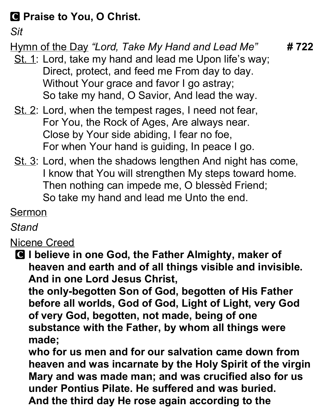### C Praise to You, O Christ.

Sit

# Hymn of the Day "Lord, Take My Hand and Lead Me"  $\# 722$

- St. 1: Lord, take my hand and lead me Upon life's way; Direct, protect, and feed me From day to day. Without Your grace and favor I go astray; So take my hand, O Savior, And lead the way.
- St. 2: Lord, when the tempest rages, I need not fear, For You, the Rock of Ages, Are always near. Close by Your side abiding, I fear no foe, For when Your hand is guiding, In peace I go.
- St. 3: Lord, when the shadows lengthen And night has come, I know that You will strengthen My steps toward home. Then nothing can impede me, O blessèd Friend; So take my hand and lead me Unto the end.

### Sermon

### **Stand**

### Nicene Creed

**C** I believe in one God, the Father Almighty, maker of heaven and earth and of all things visible and invisible. And in one Lord Jesus Christ,

the only-begotten Son of God, begotten of His Father before all worlds, God of God, Light of Light, very God of very God, begotten, not made, being of one substance with the Father, by whom all things were made;

who for us men and for our salvation came down from heaven and was incarnate by the Holy Spirit of the virgin Mary and was made man; and was crucified also for us under Pontius Pilate. He suffered and was buried. And the third day He rose again according to the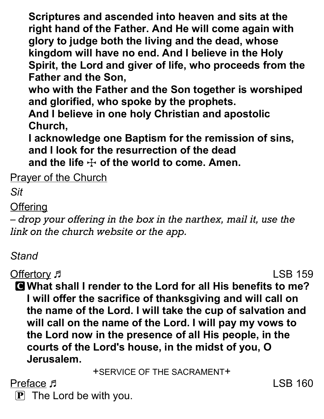Scriptures and ascended into heaven and sits at the right hand of the Father. And He will come again with glory to judge both the living and the dead, whose kingdom will have no end. And I believe in the Holy Spirit, the Lord and giver of life, who proceeds from the Father and the Son,

who with the Father and the Son together is worshiped and glorified, who spoke by the prophets.

And I believe in one holy Christian and apostolic Church,

I acknowledge one Baptism for the remission of sins, and I look for the resurrection of the dead and the life  $\pm$  of the world to come. Amen.

**Prayer of the Church** 

Sit

**Offering** 

– drop your offering in the box in the narthex, mail it, use the link on the church website or the app.

#### Stand

Offertory Fig. 2. The Second LSB 159

C What shall I render to the Lord for all His benefits to me? I will offer the sacrifice of thanksgiving and will call on the name of the Lord. I will take the cup of salvation and will call on the name of the Lord. I will pay my vows to the Lord now in the presence of all His people, in the courts of the Lord's house, in the midst of you, O Jerusalem.

+SERVICE OF THE SACRAMENT+

Preface  $\sqrt{5}$  LSB 160

 $\mathbf{P}$  The Lord be with you.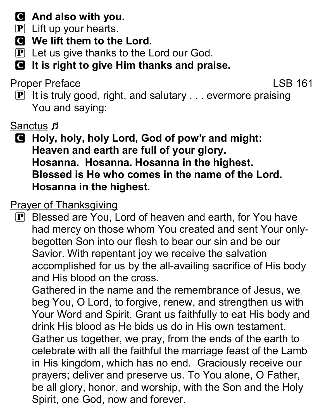# C And also with you.

- $\left| \mathbf{P} \right|$  Lift up your hearts.
- C We lift them to the Lord.
- $\mathbf{P}$  Let us give thanks to the Lord our God.
- **C** It is right to give Him thanks and praise.

Proper Preface LSB 161

 $\mathbf{P}$  It is truly good, right, and salutary ... evermore praising You and saying:

Sanctus F

C Holy, holy, holy Lord, God of pow'r and might: Heaven and earth are full of your glory. Hosanna. Hosanna. Hosanna in the highest. Blessed is He who comes in the name of the Lord. Hosanna in the highest.

#### Prayer of Thanksgiving

P Blessed are You, Lord of heaven and earth, for You have had mercy on those whom You created and sent Your onlybegotten Son into our flesh to bear our sin and be our Savior. With repentant joy we receive the salvation accomplished for us by the all-availing sacrifice of His body and His blood on the cross.

Gathered in the name and the remembrance of Jesus, we beg You, O Lord, to forgive, renew, and strengthen us with Your Word and Spirit. Grant us faithfully to eat His body and drink His blood as He bids us do in His own testament. Gather us together, we pray, from the ends of the earth to celebrate with all the faithful the marriage feast of the Lamb in His kingdom, which has no end. Graciously receive our prayers; deliver and preserve us. To You alone, O Father, be all glory, honor, and worship, with the Son and the Holy Spirit, one God, now and forever.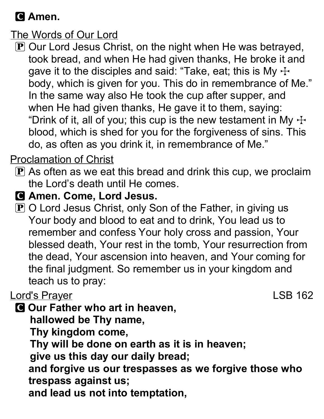### C Amen.

The Words of Our Lord

P Our Lord Jesus Christ, on the night when He was betrayed, took bread, and when He had given thanks, He broke it and gave it to the disciples and said: "Take, eat; this is My  $\pm$ body, which is given for you. This do in remembrance of Me." In the same way also He took the cup after supper, and when He had given thanks, He gave it to them, saying: "Drink of it, all of you; this cup is the new testament in My  $\pm$ blood, which is shed for you for the forgiveness of sins. This do, as often as you drink it, in remembrance of Me."

#### Proclamation of Christ

- $\bf{P}$  As often as we eat this bread and drink this cup, we proclaim the Lord's death until He comes.
- **G** Amen. Come, Lord Jesus.
- $\mathbf P$  O Lord Jesus Christ, only Son of the Father, in giving us Your body and blood to eat and to drink, You lead us to remember and confess Your holy cross and passion, Your blessed death, Your rest in the tomb, Your resurrection from the dead, Your ascension into heaven, and Your coming for the final judgment. So remember us in your kingdom and teach us to pray:

#### Lord's Prayer **Lord's Prayer LSB 162**

**C** Our Father who art in heaven,

hallowed be Thy name,

Thy kingdom come,

Thy will be done on earth as it is in heaven;

give us this day our daily bread;

and forgive us our trespasses as we forgive those who trespass against us;

and lead us not into temptation,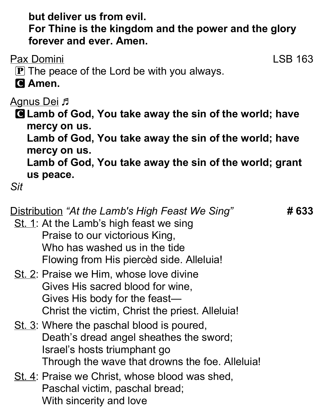but deliver us from evil.

For Thine is the kingdom and the power and the glory forever and ever. Amen.

Pax Domini LSB 163

- $\mathbf P$  The peace of the Lord be with you always.
- **G** Amen.

**Agnus Dei <sub>J</sub>** 

C Lamb of God, You take away the sin of the world; have mercy on us.

Lamb of God, You take away the sin of the world; have mercy on us.

Lamb of God, You take away the sin of the world; grant us peace.

Sit

Distribution "At the Lamb's High Feast We Sing" **#633** 

- St. 1: At the Lamb's high feast we sing Praise to our victorious King, Who has washed us in the tide Flowing from His piercèd side. Alleluia!
- St. 2: Praise we Him, whose love divine Gives His sacred blood for wine, Gives His body for the feast— Christ the victim, Christ the priest. Alleluia!
- St. 3: Where the paschal blood is poured, Death's dread angel sheathes the sword; Israel's hosts triumphant go Through the wave that drowns the foe. Alleluia!
- St. 4: Praise we Christ, whose blood was shed, Paschal victim, paschal bread; With sincerity and love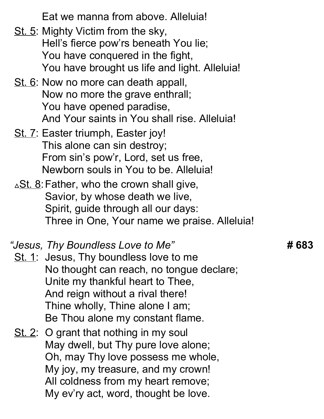Eat we manna from above. Alleluia!

- St. 5: Mighty Victim from the sky, Hell's fierce pow'rs beneath You lie; You have conquered in the fight, You have brought us life and light. Alleluia!
- St. 6: Now no more can death appall, Now no more the grave enthrall; You have opened paradise, And Your saints in You shall rise. Alleluia!
- St. 7: Easter triumph, Easter joy! This alone can sin destroy; From sin's pow'r, Lord, set us free, Newborn souls in You to be. Alleluia!
- $\triangle$ St. 8: Father, who the crown shall give, Savior, by whose death we live, Spirit, guide through all our days: Three in One, Your name we praise. Alleluia!

#### "Jesus, Thy Boundless Love to Me"  $\hphantom{i}$  #  $\hphantom{i}$   $\hphantom{i}$  #  $\hphantom{i}$

- St. 1: Jesus, Thy boundless love to me No thought can reach, no tongue declare; Unite my thankful heart to Thee, And reign without a rival there! Thine wholly, Thine alone I am; Be Thou alone my constant flame.
- St. 2: O grant that nothing in my soul May dwell, but Thy pure love alone; Oh, may Thy love possess me whole, My joy, my treasure, and my crown! All coldness from my heart remove; My ev'ry act, word, thought be love.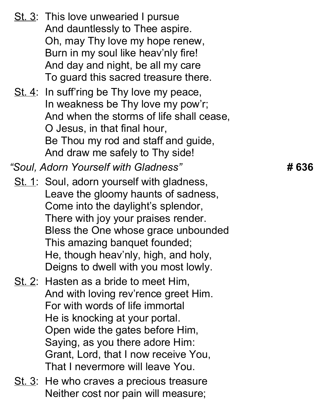|                                      | St. 3: This love unwearied I pursue<br>And dauntlessly to Thee aspire.<br>Oh, may Thy love my hope renew,<br>Burn in my soul like heav'nly fire!<br>And day and night, be all my care<br>To guard this sacred treasure there.                                                                                          |       |
|--------------------------------------|------------------------------------------------------------------------------------------------------------------------------------------------------------------------------------------------------------------------------------------------------------------------------------------------------------------------|-------|
|                                      | St. 4: In suff'ring be Thy love my peace,<br>In weakness be Thy love my pow'r;<br>And when the storms of life shall cease,<br>O Jesus, in that final hour,<br>Be Thou my rod and staff and guide,<br>And draw me safely to Thy side!                                                                                   |       |
| "Soul, Adorn Yourself with Gladness" |                                                                                                                                                                                                                                                                                                                        | # 636 |
|                                      | St. 1: Soul, adorn yourself with gladness,<br>Leave the gloomy haunts of sadness,<br>Come into the daylight's splendor,<br>There with joy your praises render.<br>Bless the One whose grace unbounded<br>This amazing banquet founded;<br>He, though heav'nly, high, and holy,<br>Deigns to dwell with you most lowly. |       |
|                                      | St. 2: Hasten as a bride to meet Him,<br>And with loving rev'rence greet Him.<br>For with words of life immortal<br>He is knocking at your portal.<br>Open wide the gates before Him,<br>Saying, as you there adore Him:<br>Grant, Lord, that I now receive You,<br>That I nevermore will leave You.                   |       |
|                                      | St. 3: He who craves a precious treasure<br>Neither cost nor pain will measure;                                                                                                                                                                                                                                        |       |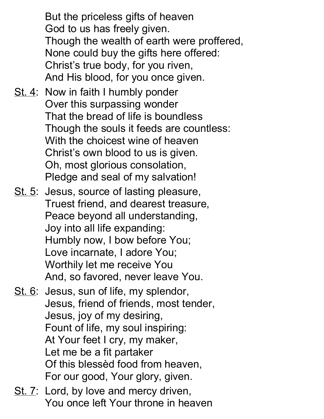But the priceless gifts of heaven God to us has freely given. Though the wealth of earth were proffered, None could buy the gifts here offered: Christ's true body, for you riven, And His blood, for you once given.

- St. 4: Now in faith I humbly ponder Over this surpassing wonder That the bread of life is boundless Though the souls it feeds are countless: With the choicest wine of heaven Christ's own blood to us is given. Oh, most glorious consolation, Pledge and seal of my salvation!
- St. 5: Jesus, source of lasting pleasure, Truest friend, and dearest treasure, Peace beyond all understanding, Joy into all life expanding: Humbly now, I bow before You; Love incarnate, I adore You; Worthily let me receive You And, so favored, never leave You.
- St. 6: Jesus, sun of life, my splendor, Jesus, friend of friends, most tender, Jesus, joy of my desiring, Fount of life, my soul inspiring: At Your feet I cry, my maker, Let me be a fit partaker Of this blessèd food from heaven, For our good, Your glory, given.
- St. 7: Lord, by love and mercy driven, You once left Your throne in heaven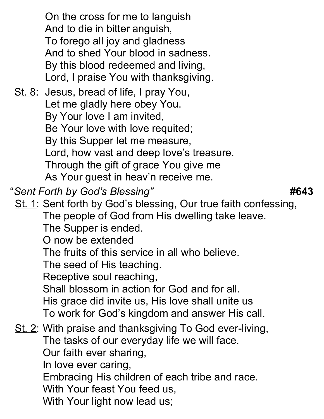On the cross for me to languish And to die in bitter anguish, To forego all joy and gladness And to shed Your blood in sadness. By this blood redeemed and living, Lord, I praise You with thanksgiving.

St. 8: Jesus, bread of life, I pray You, Let me gladly here obey You. By Your love I am invited, Be Your love with love requited; By this Supper let me measure, Lord, how vast and deep love's treasure. Through the gift of grace You give me As Your guest in heav'n receive me.

"Sent Forth by God's Blessing" **Accord 19th Contract 10 Million** #643

St. 1: Sent forth by God's blessing, Our true faith confessing,

The people of God from His dwelling take leave.

The Supper is ended.

O now be extended

The fruits of this service in all who believe.

The seed of His teaching.

Receptive soul reaching,

Shall blossom in action for God and for all.

His grace did invite us, His love shall unite us To work for God's kingdom and answer His call.

# St. 2: With praise and thanksgiving To God ever-living, The tasks of our everyday life we will face. Our faith ever sharing,

In love ever caring,

Embracing His children of each tribe and race.

With Your feast You feed us,

With Your light now lead us;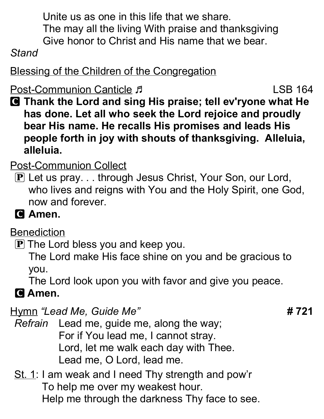Unite us as one in this life that we share. The may all the living With praise and thanksgiving Give honor to Christ and His name that we bear.

#### Stand

Blessing of the Children of the Congregation

Post-Communion Canticle F

C Thank the Lord and sing His praise; tell ev'ryone what He has done. Let all who seek the Lord rejoice and proudly bear His name. He recalls His promises and leads His people forth in joy with shouts of thanksgiving. Alleluia, alleluia.

## Post-Communion Collect

- P Let us pray. . . through Jesus Christ, Your Son, our Lord, who lives and reigns with You and the Holy Spirit, one God, now and forever.
- **C** Amen.

#### **Benediction**

 $\mathbf P$  The Lord bless you and keep you.

The Lord make His face shine on you and be gracious to you.

The Lord look upon you with favor and give you peace.

# **G** Amen.

Hymn "Lead Me, Guide Me" **And Accord 19 and Accord 4 721** 

Refrain Lead me, guide me, along the way; For if You lead me, I cannot stray. Lord, let me walk each day with Thee. Lead me, O Lord, lead me.

St. 1: I am weak and I need Thy strength and pow'r To help me over my weakest hour. Help me through the darkness Thy face to see.